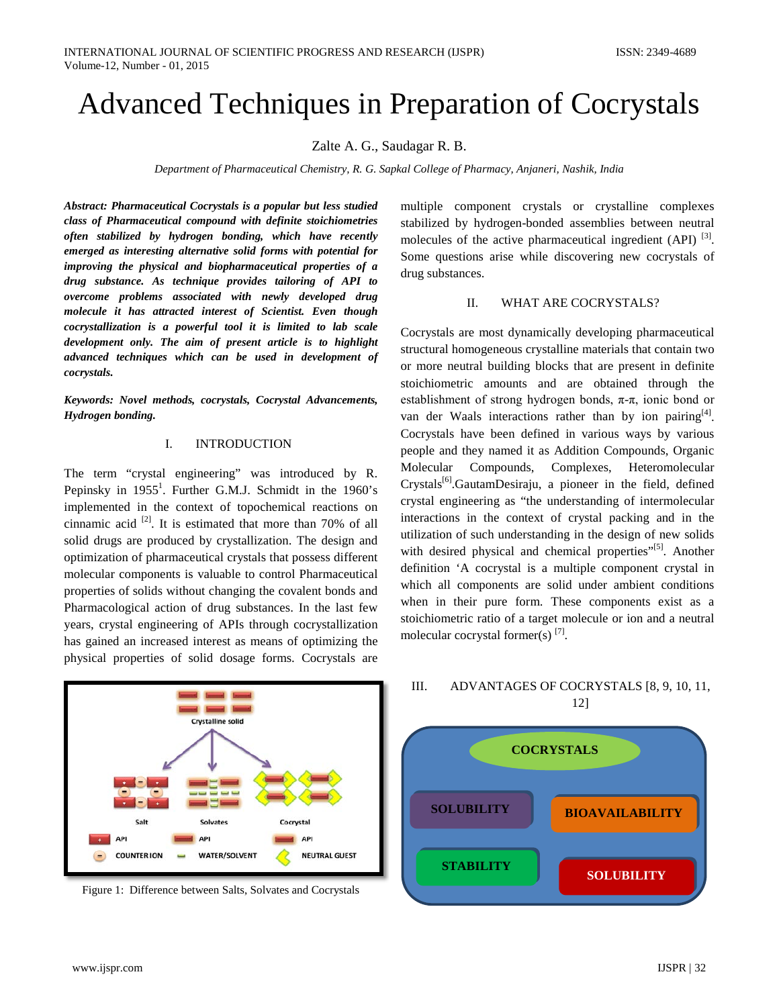# Advanced Techniques in Preparation of Cocrystals

Zalte A. G., Saudagar R. B.

*Department of Pharmaceutical Chemistry, R. G. Sapkal College of Pharmacy, Anjaneri, Nashik, India*

*Abstract: Pharmaceutical Cocrystals is a popular but less studied class of Pharmaceutical compound with definite stoichiometries often stabilized by hydrogen bonding, which have recently emerged as interesting alternative solid forms with potential for improving the physical and biopharmaceutical properties of a drug substance. As technique provides tailoring of API to overcome problems associated with newly developed drug molecule it has attracted interest of Scientist. Even though cocrystallization is a powerful tool it is limited to lab scale development only. The aim of present article is to highlight advanced techniques which can be used in development of cocrystals.*

*Keywords: Novel methods, cocrystals, Cocrystal Advancements, Hydrogen bonding.*

#### I. INTRODUCTION

The term "crystal engineering" was introduced by R. Pepinsky in  $1955^1$ . Further G.M.J. Schmidt in the  $1960$ 's implemented in the context of topochemical reactions on cinnamic acid [2]. It is estimated that more than 70% of all solid drugs are produced by crystallization. The design and optimization of pharmaceutical crystals that possess different molecular components is valuable to control Pharmaceutical properties of solids without changing the covalent bonds and Pharmacological action of drug substances. In the last few years, crystal engineering of APIs through cocrystallization has gained an increased interest as means of optimizing the physical properties of solid dosage forms. Cocrystals are

**Crystalline solid** API **API API NEUTRAL GUEST** COUNTER ION **WATER/SOLVENT** 

Figure 1: Difference between Salts, Solvates and Cocrystals

multiple component crystals or crystalline complexes stabilized by hydrogen-bonded assemblies between neutral molecules of the active pharmaceutical ingredient  $(API)$ <sup>[3]</sup>. Some questions arise while discovering new cocrystals of drug substances.

#### II. WHAT ARE COCRYSTALS?

Cocrystals are most dynamically developing pharmaceutical structural homogeneous crystalline materials that contain two or more neutral building blocks that are present in definite stoichiometric amounts and are obtained through the establishment of strong hydrogen bonds,  $\pi$ - $\pi$ , ionic bond or van der Waals interactions rather than by ion pairing $[4]$ . Cocrystals have been defined in various ways by various people and they named it as Addition Compounds, Organic Molecular Compounds, Complexes, Heteromolecular Crystals<sup>[6]</sup>.GautamDesiraju, a pioneer in the field, defined crystal engineering as "the understanding of intermolecular interactions in the context of crystal packing and in the utilization of such understanding in the design of new solids with desired physical and chemical properties"<sup>[5]</sup>. Another definition 'A cocrystal is a multiple component crystal in which all components are solid under ambient conditions when in their pure form. These components exist as a stoichiometric ratio of a target molecule or ion and a neutral molecular cocrystal former(s)  $^{[7]}$ .



# III. ADVANTAGES OF COCRYSTALS [8, 9, 10, 11,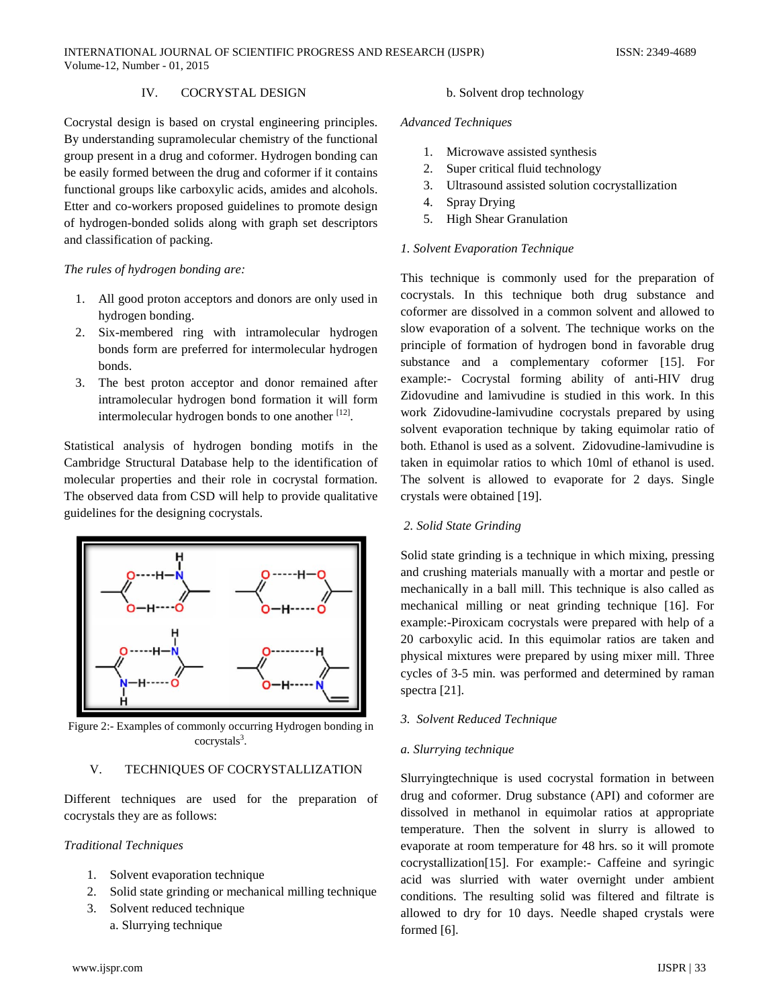# IV. COCRYSTAL DESIGN

Cocrystal design is based on crystal engineering principles. By understanding supramolecular chemistry of the functional group present in a drug and coformer. Hydrogen bonding can be easily formed between the drug and coformer if it contains functional groups like carboxylic acids, amides and alcohols. Etter and co-workers proposed guidelines to promote design of hydrogen-bonded solids along with graph set descriptors and classification of packing.

#### *The rules of hydrogen bonding are:*

- 1. All good proton acceptors and donors are only used in hydrogen bonding.
- 2. Six-membered ring with intramolecular hydrogen bonds form are preferred for intermolecular hydrogen bonds.
- 3. The best proton acceptor and donor remained after intramolecular hydrogen bond formation it will form intermolecular hydrogen bonds to one another  $[12]$ .

Statistical analysis of hydrogen bonding motifs in the Cambridge Structural Database help to the identification of molecular properties and their role in cocrystal formation. The observed data from CSD will help to provide qualitative guidelines for the designing cocrystals.



Figure 2:- Examples of commonly occurring Hydrogen bonding in cocrystals<sup>3</sup>.

#### V. TECHNIQUES OF COCRYSTALLIZATION

Different techniques are used for the preparation of cocrystals they are as follows:

#### *Traditional Techniques*

- 1. Solvent evaporation technique
- 2. Solid state grinding or mechanical milling technique
- 3. Solvent reduced technique
	- a. Slurrying technique

# b. Solvent drop technology

# *Advanced Techniques*

- 1. Microwave assisted synthesis
- 2. Super critical fluid technology
- 3. Ultrasound assisted solution cocrystallization
- 4. Spray Drying
- 5. High Shear Granulation

#### *1. Solvent Evaporation Technique*

This technique is commonly used for the preparation of cocrystals. In this technique both drug substance and coformer are dissolved in a common solvent and allowed to slow evaporation of a solvent. The technique works on the principle of formation of hydrogen bond in favorable drug substance and a complementary coformer [15]. For example:- Cocrystal forming ability of anti-HIV drug Zidovudine and lamivudine is studied in this work. In this work Zidovudine-lamivudine cocrystals prepared by using solvent evaporation technique by taking equimolar ratio of both. Ethanol is used as a solvent. Zidovudine-lamivudine is taken in equimolar ratios to which 10ml of ethanol is used. The solvent is allowed to evaporate for 2 days. Single crystals were obtained [19].

#### *2. Solid State Grinding*

Solid state grinding is a technique in which mixing, pressing and crushing materials manually with a mortar and pestle or mechanically in a ball mill. This technique is also called as mechanical milling or neat grinding technique [16]. For example:-Piroxicam cocrystals were prepared with help of a 20 carboxylic acid. In this equimolar ratios are taken and physical mixtures were prepared by using mixer mill. Three cycles of 3-5 min. was performed and determined by raman spectra [21].

#### *3. Solvent Reduced Technique*

#### *a. Slurrying technique*

Slurryingtechnique is used cocrystal formation in between drug and coformer. Drug substance (API) and coformer are dissolved in methanol in equimolar ratios at appropriate temperature. Then the solvent in slurry is allowed to evaporate at room temperature for 48 hrs. so it will promote cocrystallization[15]. For example:- Caffeine and syringic acid was slurried with water overnight under ambient conditions. The resulting solid was filtered and filtrate is allowed to dry for 10 days. Needle shaped crystals were formed [6].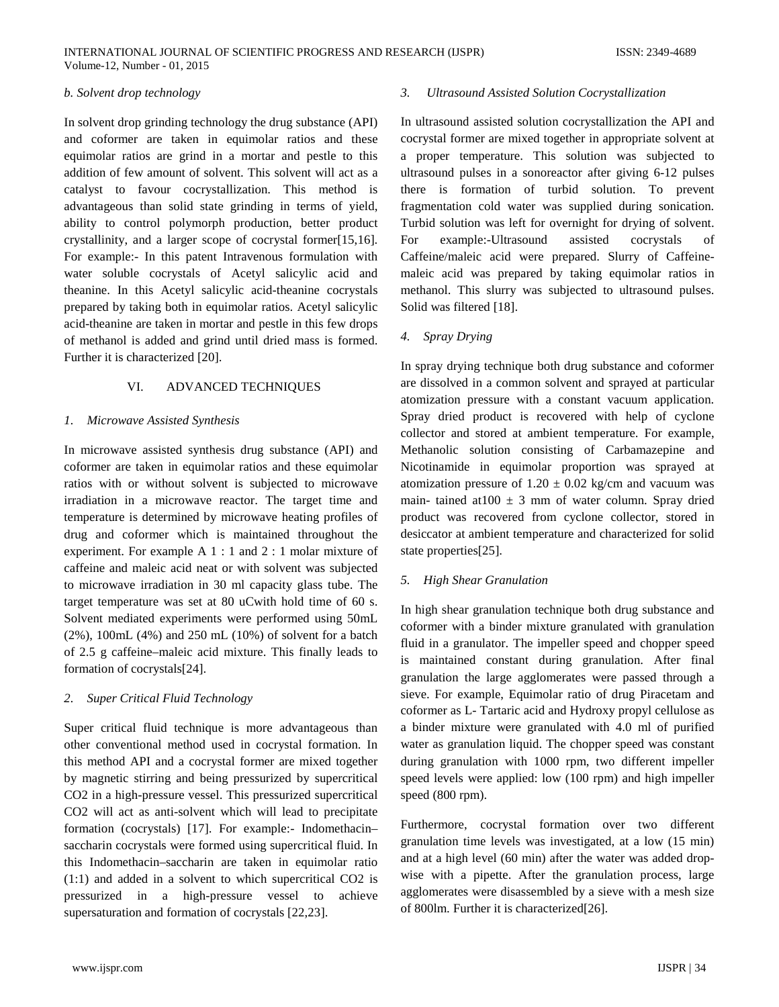#### *b. Solvent drop technology*

In solvent drop grinding technology the drug substance (API) and coformer are taken in equimolar ratios and these equimolar ratios are grind in a mortar and pestle to this addition of few amount of solvent. This solvent will act as a catalyst to favour cocrystallization. This method is advantageous than solid state grinding in terms of yield, ability to control polymorph production, better product crystallinity, and a larger scope of cocrystal former[15,16]. For example:- In this patent Intravenous formulation with water soluble cocrystals of Acetyl salicylic acid and theanine. In this Acetyl salicylic acid-theanine cocrystals prepared by taking both in equimolar ratios. Acetyl salicylic acid-theanine are taken in mortar and pestle in this few drops of methanol is added and grind until dried mass is formed. Further it is characterized [20].

# VI. ADVANCED TECHNIQUES

# *1. Microwave Assisted Synthesis*

In microwave assisted synthesis drug substance (API) and coformer are taken in equimolar ratios and these equimolar ratios with or without solvent is subjected to microwave irradiation in a microwave reactor. The target time and temperature is determined by microwave heating profiles of drug and coformer which is maintained throughout the experiment. For example A 1 : 1 and 2 : 1 molar mixture of caffeine and maleic acid neat or with solvent was subjected to microwave irradiation in 30 ml capacity glass tube. The target temperature was set at 80 uCwith hold time of 60 s. Solvent mediated experiments were performed using 50mL (2%), 100mL (4%) and 250 mL (10%) of solvent for a batch of 2.5 g caffeine–maleic acid mixture. This finally leads to formation of cocrystals[24].

# *2. Super Critical Fluid Technology*

Super critical fluid technique is more advantageous than other conventional method used in cocrystal formation. In this method API and a cocrystal former are mixed together by magnetic stirring and being pressurized by supercritical CO2 in a high-pressure vessel. This pressurized supercritical CO2 will act as anti-solvent which will lead to precipitate formation (cocrystals) [17]. For example:- Indomethacin– saccharin cocrystals were formed using supercritical fluid. In this Indomethacin–saccharin are taken in equimolar ratio (1:1) and added in a solvent to which supercritical CO2 is pressurized in a high-pressure vessel to achieve supersaturation and formation of cocrystals [22,23].

#### *3. Ultrasound Assisted Solution Cocrystallization*

In ultrasound assisted solution cocrystallization the API and cocrystal former are mixed together in appropriate solvent at a proper temperature. This solution was subjected to ultrasound pulses in a sonoreactor after giving 6-12 pulses there is formation of turbid solution. To prevent fragmentation cold water was supplied during sonication. Turbid solution was left for overnight for drying of solvent. For example:-Ultrasound assisted cocrystals of Caffeine/maleic acid were prepared. Slurry of Caffeinemaleic acid was prepared by taking equimolar ratios in methanol. This slurry was subjected to ultrasound pulses. Solid was filtered [18].

# *4. Spray Drying*

In spray drying technique both drug substance and coformer are dissolved in a common solvent and sprayed at particular atomization pressure with a constant vacuum application. Spray dried product is recovered with help of cyclone collector and stored at ambient temperature. For example, Methanolic solution consisting of Carbamazepine and Nicotinamide in equimolar proportion was sprayed at atomization pressure of  $1.20 \pm 0.02$  kg/cm and vacuum was main- tained at  $100 \pm 3$  mm of water column. Spray dried product was recovered from cyclone collector, stored in desiccator at ambient temperature and characterized for solid state properties[25].

# *5. High Shear Granulation*

In high shear granulation technique both drug substance and coformer with a binder mixture granulated with granulation fluid in a granulator. The impeller speed and chopper speed is maintained constant during granulation. After final granulation the large agglomerates were passed through a sieve. For example, Equimolar ratio of drug Piracetam and coformer as L- Tartaric acid and Hydroxy propyl cellulose as a binder mixture were granulated with 4.0 ml of purified water as granulation liquid. The chopper speed was constant during granulation with 1000 rpm, two different impeller speed levels were applied: low (100 rpm) and high impeller speed (800 rpm).

Furthermore, cocrystal formation over two different granulation time levels was investigated, at a low (15 min) and at a high level (60 min) after the water was added dropwise with a pipette. After the granulation process, large agglomerates were disassembled by a sieve with a mesh size of 800lm. Further it is characterized[26].